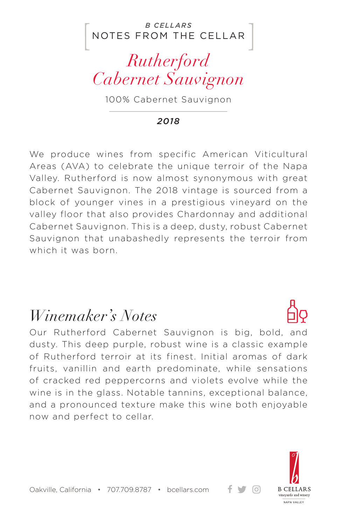NOTES FROM THE CELLAR *B CELLARS*

*Rutherford Cabernet Sauvignon*

100% Cabernet Sauvignon

*2018*

We produce wines from specific American Viticultural Areas (AVA) to celebrate the unique terroir of the Napa Valley. Rutherford is now almost synonymous with great Cabernet Sauvignon. The 2018 vintage is sourced from a block of younger vines in a prestigious vineyard on the valley floor that also provides Chardonnay and additional Cabernet Sauvignon. This is a deep, dusty, robust Cabernet Sauvignon that unabashedly represents the terroir from which it was born.

## *Winemaker's Notes*

Our Rutherford Cabernet Sauvignon is big, bold, and dusty. This deep purple, robust wine is a classic example of Rutherford terroir at its finest. Initial aromas of dark fruits, vanillin and earth predominate, while sensations of cracked red peppercorns and violets evolve while the wine is in the glass. Notable tannins, exceptional balance, and a pronounced texture make this wine both enjoyable now and perfect to cellar.



+ ਚ ⊙